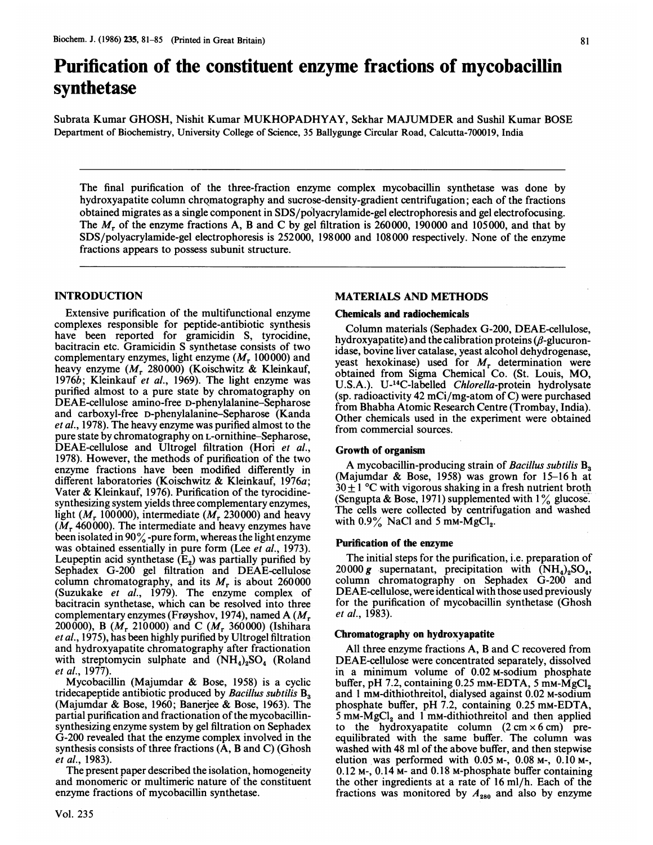# Purification of the constituent enzyme fractions of mycobacillin synthetase

Subrata Kumar GHOSH, Nishit Kumar MUKHOPADHYAY, Sekhar MAJUMDER and Sushil Kumar BOSE Department of Biochemistry, University College of Science, 35 Ballygunge Circular Road, Calcutta-700019, India

The final purification of the three-fraction enzyme complex mycobacillin synthetase was done by hydroxyapatite column chromatography and sucrose-density-gradient centrifugation; each of the fractions obtained migrates as a single component in SDS/polyacrylamide-gel electrophoresis and gel electrofocusing. The  $M_r$  of the enzyme fractions A, B and C by gel filtration is 260000, 190000 and 105000, and that by SDS/polyacrylamide-gel electrophoresis is 252000, 198000 and 108000 respectively. None of the enzyme fractions appears to possess subunit structure.

## INTRODUCTION

Extensive purification of the multifunctional enzyme complexes responsible for peptide-antibiotic synthesis have been reported for gramicidin S, tyrocidine, bacitracin etc. Gramicidin S synthetase consists of two complementary enzymes, light enzyme  $(M_r 100000)$  and heavy enzyme ( $M_r$  280000) (Koischwitz & Kleinkauf, 1976b; Kleinkauf et al., 1969). The light enzyme was purified almost to a pure state by chromatography on DEAE-cellulose amino-free D-phenylalanine-Sepharose and carboxyl-free D-phenylalanine-Sepharose (Kanda et al., 1978). The heavy enzyme was purified almost to the pure state by chromatography on L-ornithine-Sepharose, DEAE-cellulose and Ultrogel filtration (Hori et al., 1978). However, the methods of purification of the two enzyme fractions have been modified differently in different laboratories (Koischwitz & Kleinkauf, 1976a; Vater & Kleinkauf, 1976). Purification of the tyrocidinesynthesizing system yields three complementary enzymes, light ( $M_r$  100000), intermediate ( $M_r$  230000) and heavy  $(M_r 460000)$ . The intermediate and heavy enzymes have been isolated in <sup>90</sup>% -pure form, whereas the light enzyme was obtained essentially in pure form (Lee et al., 1973). Leupeptin acid synthetase  $(E_2)$  was partially purified by Sephadex G-200 gel filtration and DEAE-cellulose column chromatography, and its  $M_r$  is about 260000 (Suzukake et al., 1979). The enzyme complex of bacitracin synthetase, which can be resolved into three complementary enzymes (Frøyshov, 1974), named A ( $M_r$ 200000), B ( $M_r$  210000) and C ( $M_r$  360000) (Ishihara et al., 1975), has been highly purified by Ultrogel filtration and hydroxyapatite chromatography after fractionation with streptomycin sulphate and  $(NH_4)_2SO_4$  (Roland et al., 1977).

Mycobacillin (Majumdar & Bose, 1958) is <sup>a</sup> cyclic tridecapeptide antibiotic produced by Bacillus subtilis  $B_3$ (Majumdar & Bose, 1960; Banerjee & Bose, 1963). The partial purification and fractionation of the mycobacillinsynthesizing enzyme system by gel filtration on Sephadex G-200 revealed that the enzyme complex involved in the synthesis consists of three fractions (A, B and C) (Ghosh et al., 1983).

The present paper described the isolation, homogeneity and monomeric or multimeric nature of the constituent enzyme fractions of mycobacillin synthetase.

## MATERIALS AND METHODS

#### Chemicals and radiochemicals

Column materials (Sephadex G-200, DEAE-cellulose, hydroxyapatite) and the calibration proteins  $(\beta$ -glucuronidase, bovine liver catalase, yeast alcohol dehydrogenase, yeast hexokinase) used for  $M_r$  determination were obtained from Sigma Chemical Co. (St. Louis, MO, U.S.A.). U-<sup>14</sup>C-labelled Chlorella-protein hydrolysate (sp. radioactivity 42 mCi/mg-atom of C) were purchased from Bhabha Atomic Research Centre (Trombay, India). Other chemicals used in the experiment were obtained from commercial sources.

#### Growth of organism

A mycobacillin-producing strain of Bacillus subtilis B<sub>2</sub> (Majumdar & Bose, 1958) was grown for 15-16 h at  $30 \pm 1$  °C with vigorous shaking in a fresh nutrient broth (Sengupta & Bose, 1971) supplemented with  $1\%$  glucose. The cells were collected by centrifugation and washed with  $0.9\%$  NaCl and 5 mM-MgCl<sub>2</sub>.

#### Purification of the enzyme

The initial steps for the purification, i.e. preparation of 20000 g supernatant, precipitation with  $(NH_4)_2SO_4$ , column chromatography on Sephadex G-200 and DEAE-cellulose, were identical with those used previously for the purification of mycobacillin synthetase (Ghosh  $et$  al., 1983).

#### Chromatography on hydroxyapatite

All three enzyme fractions A, B and C recovered from DEAE-cellulose were concentrated separately, dissolved in a minimum volume of 0.02 M-sodium phosphate buffer, pH 7.2, containing  $0.25$  mm-EDTA,  $5$  mm- $\dot{M}$ gCl<sub>2</sub> and <sup>1</sup> mM-dithiothreitol, dialysed against 0.02 M-sodium phosphate buffer, pH 7.2, containing 0.25 mm-EDTA,  $5 \text{ mm-MgCl}_2$  and 1 mm-dithiothreitol and then applied to the hydroxyapatite column  $(2 \text{ cm} \times 6 \text{ cm})$  preequilibrated with the same buffer. The column was washed with 48 ml of the above buffer, and then stepwise elution was performed with 0.05 M-, 0.08 M-, 0.10 M-, 0.12 M-, 0.14 M- and 0.18 M-phosphate buffer containing the other ingredients at a rate of 16 ml/h. Each of the fractions was monitored by  $A_{280}$  and also by enzyme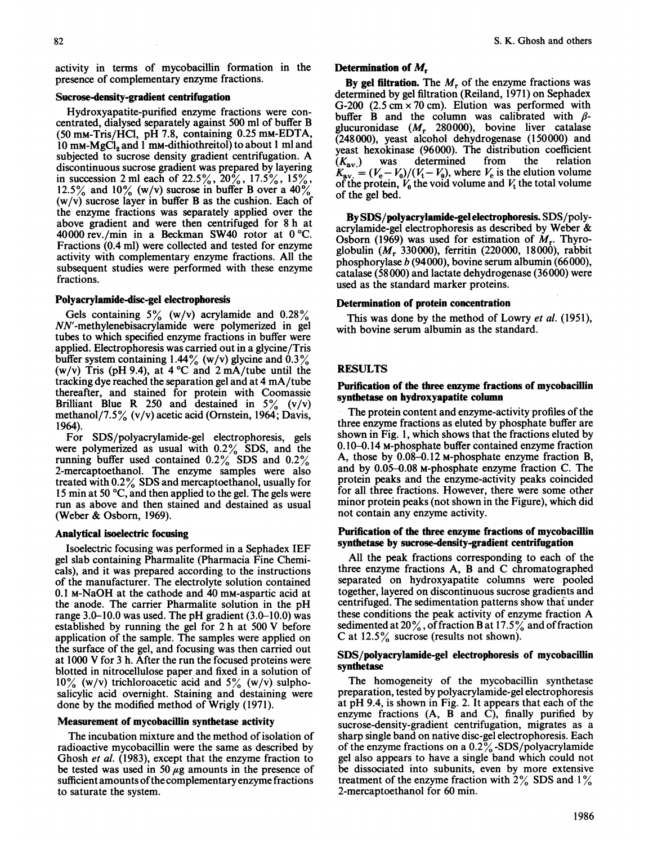activity in terms of mycobacillin formation in the presence of complementary enzyme fractions.

# Sucrose-density-gradient centrifugation

Hydroxyapatite-purified enzyme fractions were concentrated, dialysed separately against 500 ml of buffer B (50 mM-Tris/HCI, pH 7.8, containing 0.25 mM-EDTA, 10 mm-MgCl<sub>2</sub> and 1 mm-dithiothreitol) to about 1 ml and subjected to sucrose density gradient centrifugation. A discontinuous sucrose gradient was prepared by layering in succession 2 ml each of 22.5%,  $20\%$ , 17.5%,  $15\%$ , 12.5% and  $10\%$  (w/v) sucrose in buffer B over a 40%  $(w/v)$  sucrose layer in buffer B as the cushion. Each of the enzyme fractions was separately applied over the above gradient and were then centrifuged for 8 h at 40000 rev./min in a Beckman SW40 rotor at  $0^{\circ}$ C. Fractions (0.4 ml) were collected and tested for enzyme activity with complementary enzyme fractions. All the subsequent studies were performed with these enzyme fractions.

## Polyacrylamide-disc-gel electrophoresis

Gels containing  $5\%$  (w/v) acrylamide and  $0.28\%$ NN'-methylenebisacrylamide were polymerized in gel tubes to which specified enzyme fractions in buffer were applied. Electrophoresis was carried out in a glycine/Tris buffer system containing  $1.44\%$  (w/v) glycine and  $0.3\%$ (w/v) Tris (pH 9.4), at  $4^{\circ}$ C and  $2 \text{ mA}$ /tube until the tracking dye reached the separation gel and at 4 mA/tube thereafter, and stained for protein with Coomassie Brilliant Blue R 250 and destained in  $5\%$  (v/v) methanol/7.5% (v/v) acetic acid (Ornstein, 1964; Davis, 1964).

For SDS/polyacrylamide-gel electrophoresis, gels were polymerized as usual with  $0.2\%$  SDS, and the running buffer used contained  $0.2\%$  SDS and  $0.2\%$ 2-mercaptoethanol. The enzyme samples were also treated with 0.2% SDS and mercaptoethanol, usually for 15 min at 50 'C, and then applied to the gel. The gels were run as above and then stained and destained as usual (Weber & Osborn, 1969).

## Analytical isoelectric focusing

Isoelectric focusing was performed in a Sephadex IEF gel slab containing Pharmalite (Pharmacia Fine Chemicals), and it was prepared according to the instructions of the manufacturer. The electrolyte solution contained 0.1 M-NaOH at the cathode and 40 mM-aspartic acid at the anode. The carrier Pharmalite solution in the pH range 3.0-10.0 was used. The pH gradient (3.0-10.0) was established by running the gel for <sup>2</sup> h at <sup>500</sup> V before application of the sample. The samples were applied on the surface of the gel, and focusing was then carried out at <sup>1000</sup> V for <sup>3</sup> h. After the run the focused proteins were blotted in nitrocellulose paper and fixed in a solution of  $10\%$  (w/v) trichloroacetic acid and  $5\%$  (w/v) sulphosalicylic acid overnight. Staining and destaining were done by the modified method of Wrigly (1971).

## Measurement of mycobacillin synthetase activity

The incubation mixture and the method of isolation of radioactive mycobacillin were the same as described by Ghosh et al. (1983), except that the enzyme fraction to be tested was used in 50  $\mu$ g amounts in the presence of sufficient amounts of the complementary enzyme fractions to saturate the system.

# Determination of  $M_r$

By gel filtration. The  $M_r$  of the enzyme fractions was determined by gel filtration (Reiland, 1971) on Sephadex G-200  $(2.5 \text{ cm} \times 70 \text{ cm})$ . Elution was performed with buffer B and the column was calibrated with  $\beta$ glucuronidase  $(M_r \quad 280000)$ , bovine liver catalase (248000), yeast alcohol dehydrogenase (150000) and yeast hexokinase (96000). The distribution coefficient  $(K_{av.})$  was determined from the relation  $K_{\text{av}} = (V_e - V_0)/(V_t - V_0)$ , where  $V_e$  is the elution volume of the protein,  $V_0$  the void volume and  $V_t$  the total volume of the gel bed.

By SDS/polyacrylamide-gel electrophoresis. SDS/polyacrylamide-gel electrophoresis as described by Weber & Osborn (1969) was used for estimation of  $M_r$ . Thyroglobulin ( $M_r$  330000), ferritin (220000, 18000), rabbit phosphorylase b (94000), bovine serum albumin (66000), catalase (58000) and lactate dehydrogenase (36000) were used as the standard marker proteins.

## Determination of protein concentration

This was done by the method of Lowry et al. (1951), with bovine serum albumin as the standard.

# RESULTS

## Purification of the three enzyme fractions of mycobacillin synthetase on hydroxyapatite column

The protein content and enzyme-activity profiles of the three enzyme fractions as eluted by phosphate-buffer are shown in Fig. 1, which shows that the fractions eluted by 0.10-0.14 M-phosphate buffer contained enzyme fraction A, those by 0.08-0.12 M-phosphate enzyme fraction B, and by 0.05-0.08 M-phosphate enzyme fraction C. The protein peaks and the enzyme-activity peaks coincided for all three fractions. However, there were some other minor protein peaks (not shown in the Figure), which did not contain any enzyme activity.

## Purification of the three enzyme fractions of mycobacillin synthetase by sucrose-density-gradient centrifugation

All the peak fractions corresponding to each of the three enzyme fractions A, B and C chromatographed separated on hydroxyapatite columns were pooled together, layered on discontinuous sucrose gradients and centrifuged. The sedimentation patterns show that under these conditions the peak activity of enzyme fraction A sedimented at 20%, of fraction B at 17.5% and of fraction C at 12.5% sucrose (results not shown).

## SDS/polyacrylamide-gel electrophoresis of mycobacillin synthetase

The homogeneity of the mycobacillin synthetase preparation, tested by polyacrylamide-gel electrophoresis at pH 9.4, is shown in Fig. 2. It appears that each of the enzyme fractions  $(A, B \text{ and } C)$ , finally purified by sucrose-density-gradient centrifugation, migrates as a sharp single band on native disc-gel electrophoresis. Each of the enzyme fractions on a  $0.2\%$ -SDS/polyacrylamide gel also appears to have a single band which could not be dissociated into subunits, even by more extensive treatment of the enzyme fraction with  $2\%$  SDS and  $1\%$ 2-mercaptoethanol for 60 min.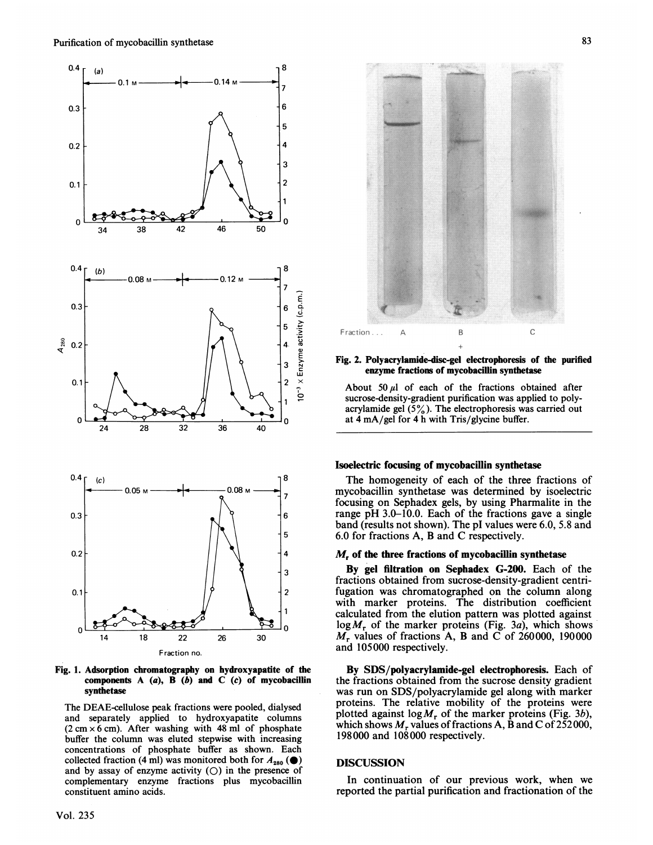

Fig. 1. Adsorption chromatography on hydroxyapatite of the components  $A$  (a),  $\overline{B}$  (b) and  $\overline{C}$  (c) of mycobacillin synthetase

The DEAE-cellulose peak fractions were pooled, dialysed and separately applied to hydroxyapatite columns  $(2 \text{ cm} \times 6 \text{ cm})$ . After washing with 48 ml of phosphate buffer the column was eluted stepwise with increasing concentrations of phosphate buffer as shown. Each collected fraction (4 ml) was monitored both for  $A_{280}$  ( $\bullet$ ) and by assay of enzyme activity  $(O)$  in the presence of complementary enzyme fractions plus mycobacillin constituent amino acids.



Fig. 2. Polyacrylamnide-disc-gel electrophoresis of the purified enzyme fractions of mycobacillin synthetase

About 50  $\mu$ l of each of the fractions obtained after sucrose-density-gradient purification was applied to polyacrylamide gel  $(5\%)$ . The electrophoresis was carried out at 4 mA/gel for 4 h with Tris/glycine buffer.

#### Isoelectric focusing of mycobacillin synthetase

The homogeneity of each of the three fractions of mycobacillin synthetase was determined by isoelectric focusing on Sephadex gels, by using Pharmalite in the range pH 3.0-10.0. Each of the fractions gave <sup>a</sup> single band (results not shown). The pl values were 6.0, 5.8 and 6.0 for fractions A, B and C respectively.

#### $M<sub>r</sub>$  of the three fractions of mycobacillin synthetase

By gel fitration on Sephadex G-200. Each of the fractions obtained from sucrose-density-gradient centrifugation was chromatographed on the column along with marker proteins. The distribution coefficient calculated from the elution pattern was plotted against  $log M_r$  of the marker proteins (Fig. 3a), which shows  $M_r$  values of fractions A, B and C of 260000, 190000 and 105000 respectively.

By SDS/polyacrylamide-gel electrophoresis. Each of the fractions obtained from the sucrose density gradient was run on SDS/polyacrylamide gel along with marker proteins. The relative mobility of the proteins were plotted against  $\log M_r$  of the marker proteins (Fig. 3b), which shows  $M_r$  values of fractions A, B and C of 252000, 198000 and 108000 respectively.

## **DISCUSSION**

In continuation of our previous work, when we reported the partial purification and fractionation of the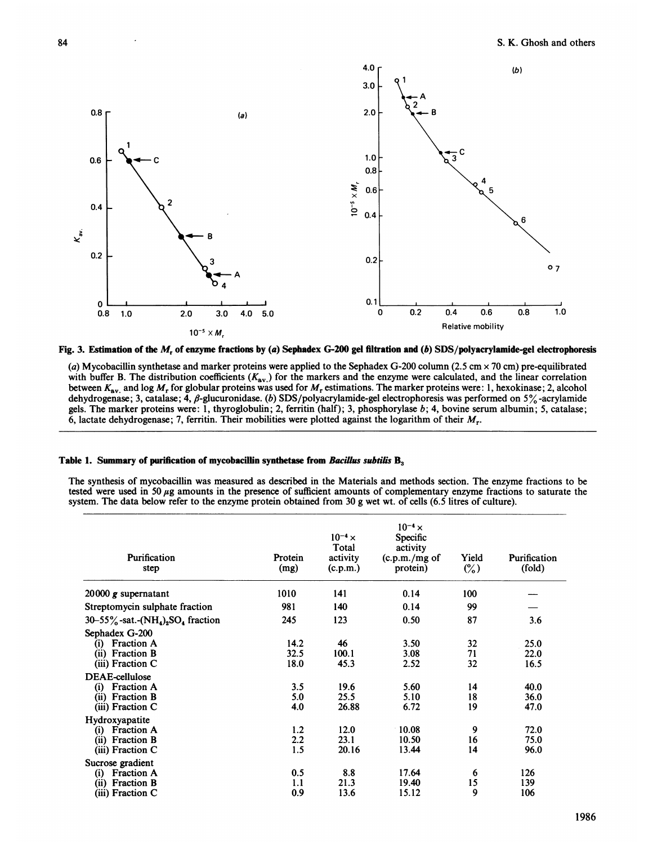

Fig. 3. Estimation of the M, of enzyme fractions by (a) Sephadex G-200 gel filtration and (b) SDS/polyacrylamide-gel electrophoresis

(a) Mycobacillin synthetase and marker proteins were applied to the Sephadex G-200 column (2.5 cm  $\times$  70 cm) pre-equilibrated with buffer B. The distribution coefficients  $(K_{av})$  for the markers and the enzyme were calculated, and the linear correlation between  $K_{\text{av}}$  and log  $M_r$  for globular proteins was used for  $M_r$  estimations. The marker proteins were: 1, hexokinase; 2, alcohol dehydrogenase; 3, catalase; 4,  $\beta$ -glucuronidase. (b) SDS/polyacrylamide-gel electrophoresis was performed on 5% -acrylamide gels. The marker proteins were: 1, thyroglobulin; 2, ferritin (half); 3, phosphorylase b; 4, bovine serum albumin; 5, catalase; 6, lactate dehydrogenase; 7, ferritin. Their mobilities were plotted against the logarithm of their  $M_r$ .

#### Table 1. Summary of purification of mycobacillin synthetase from Bacillus subtilis  $B_3$

The synthesis of mycobacillin was measured as described in the Materials and methods section. The enzyme fractions to be tested were used in 50  $\mu$ g amounts in the presence of sufficient amounts of complementary enzyme fractions to saturate the system. The data below refer to the enzyme protein obtained from 30 g wet wt. of cells (6.5 litres of culture).

| Purification<br>step                                                                                                                                                | Protein<br>(mg)                    | $10^{-4} x$<br>Total<br>activity<br>(c.p.m.) | $10^{-4} x$<br>Specific<br>activity<br>(c.p.m./mg of<br>protein) | Yield<br>$\binom{0}{0}$    | Purification<br>(fold)               |
|---------------------------------------------------------------------------------------------------------------------------------------------------------------------|------------------------------------|----------------------------------------------|------------------------------------------------------------------|----------------------------|--------------------------------------|
| 20000 $g$ supernatant                                                                                                                                               | 1010                               | 141                                          | 0.14                                                             | 100                        |                                      |
| Streptomycin sulphate fraction                                                                                                                                      | 981                                | 140                                          | 0.14                                                             | 99                         |                                      |
| $30-55\%$ -sat.- $(NH_4)_2SO_4$ fraction                                                                                                                            | 245                                | 123                                          | 0.50                                                             | 87                         | 3.6                                  |
| Sephadex G-200<br><b>Fraction A</b><br>(i)<br><b>Fraction B</b><br>(ii)<br>$(iii)$ Fraction C<br>DEAE-cellulose<br><b>Fraction A</b><br>$\rm(i)$<br>(ii) Fraction B | 14.2<br>32.5<br>18.0<br>3.5<br>5.0 | 46<br>100.1<br>45.3<br>19.6<br>25.5          | 3.50<br>3.08<br>2.52<br>5.60<br>5.10                             | 32<br>71<br>32<br>14<br>18 | 25.0<br>22.0<br>16.5<br>40.0<br>36.0 |
| $(iii)$ Fraction C<br>Hydroxyapatite<br><b>Fraction A</b><br>(i)<br><b>Fraction B</b><br>(ii)<br>$(iii)$ Fraction C                                                 | 4.0<br>1.2<br>2.2<br>1.5           | 26.88<br>12.0<br>23.1<br>20.16               | 6.72<br>10.08<br>10.50<br>13.44                                  | 19<br>9<br>16<br>14        | 47.0<br>72.0<br>75.0<br>96.0         |
| Sucrose gradient<br><b>Fraction A</b><br>$\rm(i)$<br><b>Fraction B</b><br>(ii)<br>(iii) Fraction C                                                                  | 0.5<br>1.1<br>0.9                  | 8.8<br>21.3<br>13.6                          | 17.64<br>19.40<br>15.12                                          | 6<br>15<br>9               | 126<br>139<br>106                    |